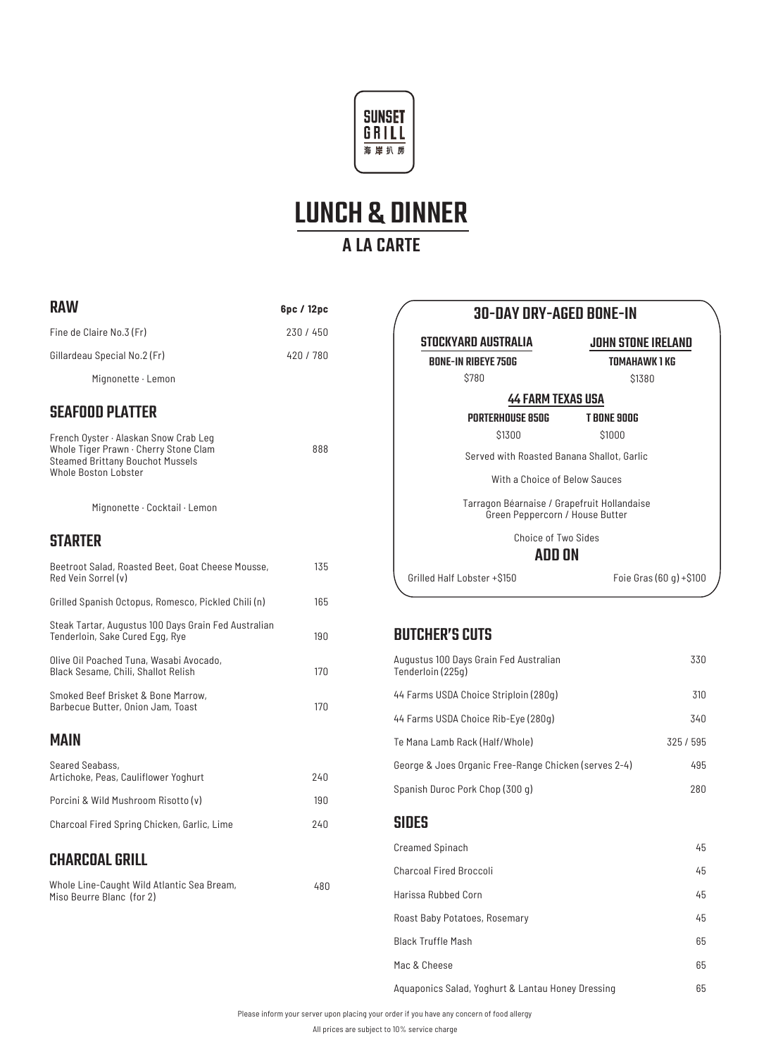



| <b>RAW</b>                                                                                                                                        | 6pc / 12pc |  |
|---------------------------------------------------------------------------------------------------------------------------------------------------|------------|--|
| Fine de Claire No.3 (Fr)                                                                                                                          | 230 / 450  |  |
| Gillardeau Special No.2 (Fr)                                                                                                                      | 420 / 780  |  |
| Mignonette · Lemon                                                                                                                                |            |  |
| <b>SEAFOOD PLATTER</b>                                                                                                                            |            |  |
| French Oyster · Alaskan Snow Crab Leg<br>Whole Tiger Prawn · Cherry Stone Clam<br><b>Steamed Brittany Bouchot Mussels</b><br>Whole Boston Lobster | 888        |  |
| Mignonette · Cocktail · Lemon                                                                                                                     |            |  |
| <b>STARTER</b>                                                                                                                                    |            |  |
| Beetroot Salad, Roasted Beet, Goat Cheese Mousse,<br>Red Vein Sorrel (v)                                                                          | 135        |  |
| Grilled Spanish Octopus, Romesco, Pickled Chili (n)                                                                                               | 165        |  |
| Steak Tartar, Augustus 100 Days Grain Fed Australian<br>Tenderloin, Sake Cured Egg, Rye                                                           | 190        |  |
| Olive Oil Poached Tuna, Wasabi Avocado,<br>Black Sesame, Chili, Shallot Relish                                                                    | 170        |  |
| Smoked Beef Brisket & Bone Marrow,<br>Barbecue Butter, Onion Jam, Toast                                                                           | 170        |  |
| <b>MAIN</b>                                                                                                                                       |            |  |
| Seared Seabass,<br>Artichoke, Peas, Cauliflower Yoghurt                                                                                           | 240        |  |
| Porcini & Wild Mushroom Risotto (y)                                                                                                               | 190        |  |
| Charcoal Fired Spring Chicken, Garlic, Lime                                                                                                       | 240        |  |
| <b>CHARCOAL GRILL</b>                                                                                                                             |            |  |
| Whole Line-Caught Wild Atlantic Sea Bream,<br>Miso Beurre Blanc (for 2)                                                                           | 480        |  |

### 30-DAY DRY-AGED BONE-IN

STOCKYARD AUSTRALIA BONE-IN RIBEYE 750G \$780

JOHN STONE IRELAND

TOMAHAWK 1 KG \$1380

T BONE 900G \$1000

#### 44 FARM TEXAS USA

PORTERHOUSE 850G \$1300

Served with Roasted Banana Shallot, Garlic

With a Choice of Below Sauces

Tarragon Béarnaise / Grapefruit Hollandaise Green Peppercorn / House Butter

Choice of Two Sides

#### ADD ON

Grilled Half Lobster +\$150 Foie Gras (60 g) +\$100

#### BUTCHER'S CUTS

| Augustus 100 Days Grain Fed Australian<br>Tenderloin (225g) | 330       |
|-------------------------------------------------------------|-----------|
| 44 Farms USDA Choice Striploin (280g)                       | 310       |
| 44 Farms USDA Choice Rib-Eye (280g)                         | 340       |
| Te Mana Lamb Rack (Half/Whole)                              | 325 / 595 |
| George & Joes Organic Free-Range Chicken (serves 2-4)       | 495       |
| Spanish Duroc Pork Chop (300 g)                             | 280       |
| <b>SIDES</b>                                                |           |
| <b>Creamed Spinach</b>                                      | 45        |
| <b>Charcoal Fired Broccoli</b>                              | 45        |
| Harissa Rubbed Corn                                         | 45        |
| Roast Baby Potatoes, Rosemary                               | 45        |
| <b>Black Truffle Mash</b>                                   | 65        |
| Mac & Cheese                                                | 65        |
| Aquaponics Salad, Yoghurt & Lantau Honey Dressing           | 65        |

Please inform your server upon placing your order if you have any concern of food allergy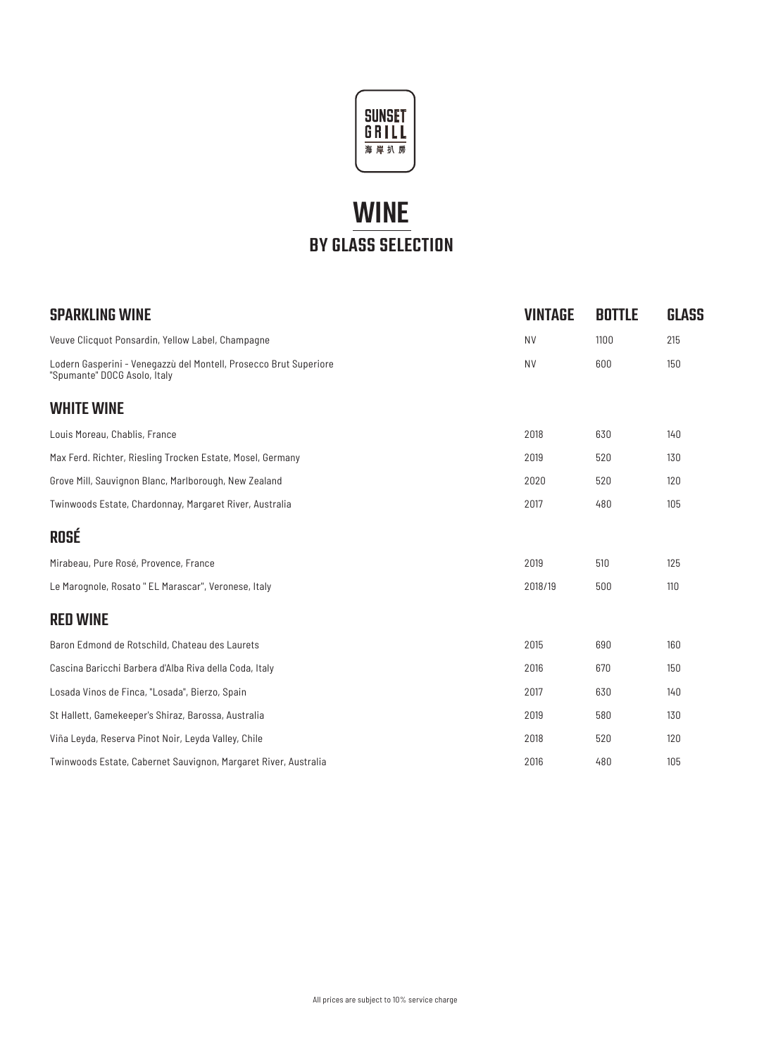

# WINE BY GLASS SELECTION

| <b>SPARKLING WINE</b>                                                                             | <b>VINTAGE</b> | <b>BOTTLE</b> | <b>GLASS</b> |
|---------------------------------------------------------------------------------------------------|----------------|---------------|--------------|
| Veuve Clicquot Ponsardin, Yellow Label, Champagne                                                 | <b>NV</b>      | 1100          | 215          |
| Lodern Gasperini - Venegazzù del Montell, Prosecco Brut Superiore<br>"Spumante" DOCG Asolo, Italy | <b>NV</b>      | 600           | 150          |
| <b>WHITE WINE</b>                                                                                 |                |               |              |
| Louis Moreau, Chablis, France                                                                     | 2018           | 630           | 140          |
| Max Ferd. Richter, Riesling Trocken Estate, Mosel, Germany                                        | 2019           | 520           | 130          |
| Grove Mill, Sauvignon Blanc, Marlborough, New Zealand                                             | 2020           | 520           | 120          |
| Twinwoods Estate, Chardonnay, Margaret River, Australia                                           | 2017           | 480           | 105          |
| <b>ROSÉ</b>                                                                                       |                |               |              |
| Mirabeau, Pure Rosé, Provence, France                                                             | 2019           | 510           | 125          |
| Le Marognole, Rosato " EL Marascar", Veronese, Italy                                              | 2018/19        | 500           | 110          |
| <b>RED WINE</b>                                                                                   |                |               |              |
| Baron Edmond de Rotschild, Chateau des Laurets                                                    | 2015           | 690           | 160          |
| Cascina Baricchi Barbera d'Alba Riva della Coda, Italy                                            | 2016           | 670           | 150          |
| Losada Vinos de Finca, "Losada", Bierzo, Spain                                                    | 2017           | 630           | 140          |
| St Hallett, Gamekeeper's Shiraz, Barossa, Australia                                               | 2019           | 580           | 130          |
| Viña Leyda, Reserva Pinot Noir, Leyda Valley, Chile                                               | 2018           | 520           | 120          |
| Twinwoods Estate, Cabernet Sauvignon, Margaret River, Australia                                   | 2016           | 480           | 105          |